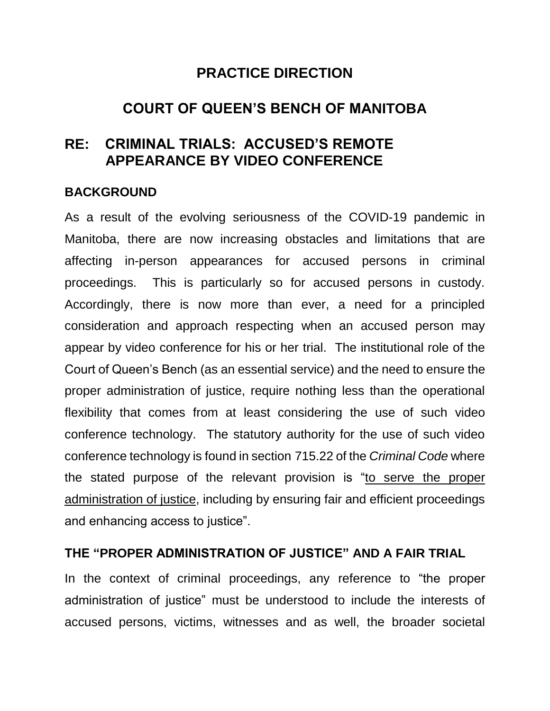# **PRACTICE DIRECTION**

# **COURT OF QUEEN'S BENCH OF MANITOBA**

# **RE: CRIMINAL TRIALS: ACCUSED'S REMOTE APPEARANCE BY VIDEO CONFERENCE**

#### **BACKGROUND**

As a result of the evolving seriousness of the COVID-19 pandemic in Manitoba, there are now increasing obstacles and limitations that are affecting in-person appearances for accused persons in criminal proceedings. This is particularly so for accused persons in custody. Accordingly, there is now more than ever, a need for a principled consideration and approach respecting when an accused person may appear by video conference for his or her trial. The institutional role of the Court of Queen's Bench (as an essential service) and the need to ensure the proper administration of justice, require nothing less than the operational flexibility that comes from at least considering the use of such video conference technology. The statutory authority for the use of such video conference technology is found in section 715.22 of the *Criminal Code* where the stated purpose of the relevant provision is "to serve the proper administration of justice, including by ensuring fair and efficient proceedings and enhancing access to justice".

### **THE "PROPER ADMINISTRATION OF JUSTICE" AND A FAIR TRIAL**

In the context of criminal proceedings, any reference to "the proper administration of justice" must be understood to include the interests of accused persons, victims, witnesses and as well, the broader societal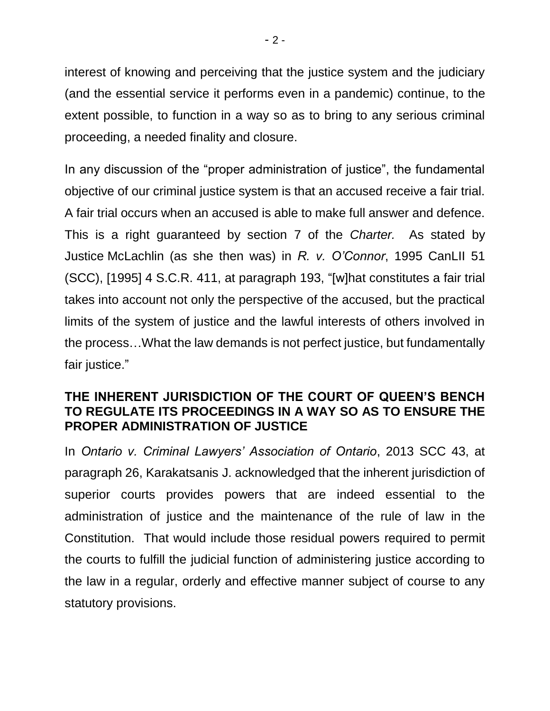interest of knowing and perceiving that the justice system and the judiciary (and the essential service it performs even in a pandemic) continue, to the extent possible, to function in a way so as to bring to any serious criminal proceeding, a needed finality and closure.

In any discussion of the "proper administration of justice", the fundamental objective of our criminal justice system is that an accused receive a fair trial. A fair trial occurs when an accused is able to make full answer and defence. This is a right guaranteed by section 7 of the *Charter.* As stated by Justice McLachlin (as she then was) in *R. v. O'Connor*, 1995 CanLII 51 (SCC), [1995] 4 S.C.R. 411, at paragraph 193, "[w]hat constitutes a fair trial takes into account not only the perspective of the accused, but the practical limits of the system of justice and the lawful interests of others involved in the process…What the law demands is not perfect justice, but fundamentally fair justice."

#### **THE INHERENT JURISDICTION OF THE COURT OF QUEEN'S BENCH TO REGULATE ITS PROCEEDINGS IN A WAY SO AS TO ENSURE THE PROPER ADMINISTRATION OF JUSTICE**

In *Ontario v. Criminal Lawyers' Association of Ontario*, 2013 SCC 43, at paragraph 26, Karakatsanis J. acknowledged that the inherent jurisdiction of superior courts provides powers that are indeed essential to the administration of justice and the maintenance of the rule of law in the Constitution. That would include those residual powers required to permit the courts to fulfill the judicial function of administering justice according to the law in a regular, orderly and effective manner subject of course to any statutory provisions.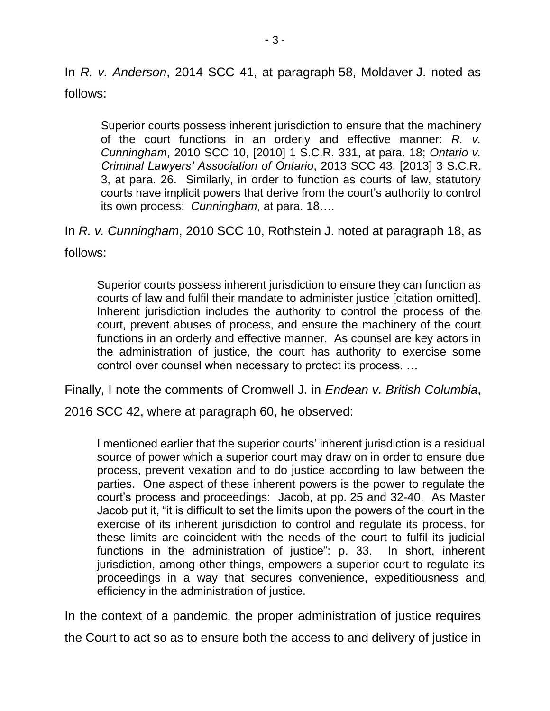In *R. v. Anderson*, 2014 SCC 41, at paragraph 58, Moldaver J. noted as follows:

Superior courts possess inherent jurisdiction to ensure that the machinery of the court functions in an orderly and effective manner: *R. v. Cunningham*, 2010 SCC 10, [2010] 1 S.C.R. 331, at para. 18; *Ontario v. Criminal Lawyers' Association of Ontario*, 2013 SCC 43, [2013] 3 S.C.R. 3, at para. 26. Similarly, in order to function as courts of law, statutory courts have implicit powers that derive from the court's authority to control its own process: *Cunningham*, at para. 18….

In *R. v. Cunningham*, 2010 SCC 10, Rothstein J. noted at paragraph 18, as follows:

Superior courts possess inherent jurisdiction to ensure they can function as courts of law and fulfil their mandate to administer justice [citation omitted]. Inherent jurisdiction includes the authority to control the process of the court, prevent abuses of process, and ensure the machinery of the court functions in an orderly and effective manner. As counsel are key actors in the administration of justice, the court has authority to exercise some control over counsel when necessary to protect its process. …

Finally, I note the comments of Cromwell J. in *Endean v. British Columbia*,

2016 SCC 42, where at paragraph 60, he observed:

I mentioned earlier that the superior courts' inherent jurisdiction is a residual source of power which a superior court may draw on in order to ensure due process, prevent vexation and to do justice according to law between the parties. One aspect of these inherent powers is the power to regulate the court's process and proceedings: Jacob, at pp. 25 and 32-40. As Master Jacob put it, "it is difficult to set the limits upon the powers of the court in the exercise of its inherent jurisdiction to control and regulate its process, for these limits are coincident with the needs of the court to fulfil its judicial functions in the administration of justice": p. 33. In short, inherent jurisdiction, among other things, empowers a superior court to regulate its proceedings in a way that secures convenience, expeditiousness and efficiency in the administration of justice.

In the context of a pandemic, the proper administration of justice requires the Court to act so as to ensure both the access to and delivery of justice in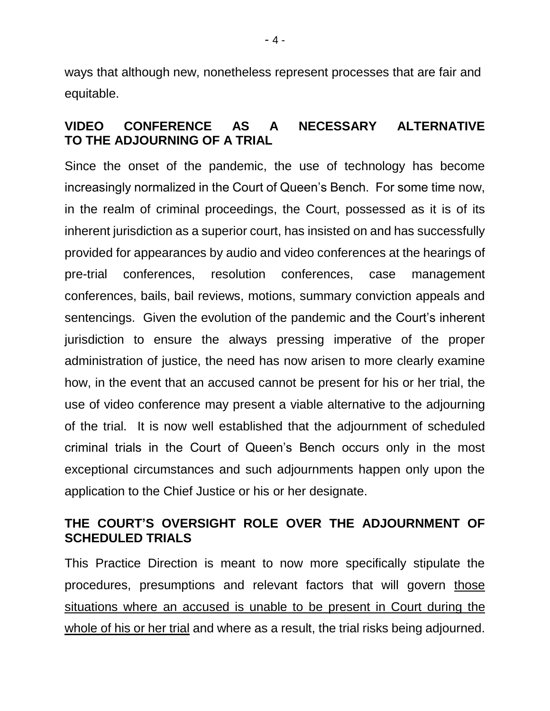ways that although new, nonetheless represent processes that are fair and equitable.

### **VIDEO CONFERENCE AS A NECESSARY ALTERNATIVE TO THE ADJOURNING OF A TRIAL**

Since the onset of the pandemic, the use of technology has become increasingly normalized in the Court of Queen's Bench. For some time now, in the realm of criminal proceedings, the Court, possessed as it is of its inherent jurisdiction as a superior court, has insisted on and has successfully provided for appearances by audio and video conferences at the hearings of pre-trial conferences, resolution conferences, case management conferences, bails, bail reviews, motions, summary conviction appeals and sentencings. Given the evolution of the pandemic and the Court's inherent jurisdiction to ensure the always pressing imperative of the proper administration of justice, the need has now arisen to more clearly examine how, in the event that an accused cannot be present for his or her trial, the use of video conference may present a viable alternative to the adjourning of the trial. It is now well established that the adjournment of scheduled criminal trials in the Court of Queen's Bench occurs only in the most exceptional circumstances and such adjournments happen only upon the application to the Chief Justice or his or her designate.

# **THE COURT'S OVERSIGHT ROLE OVER THE ADJOURNMENT OF SCHEDULED TRIALS**

This Practice Direction is meant to now more specifically stipulate the procedures, presumptions and relevant factors that will govern those situations where an accused is unable to be present in Court during the whole of his or her trial and where as a result, the trial risks being adjourned.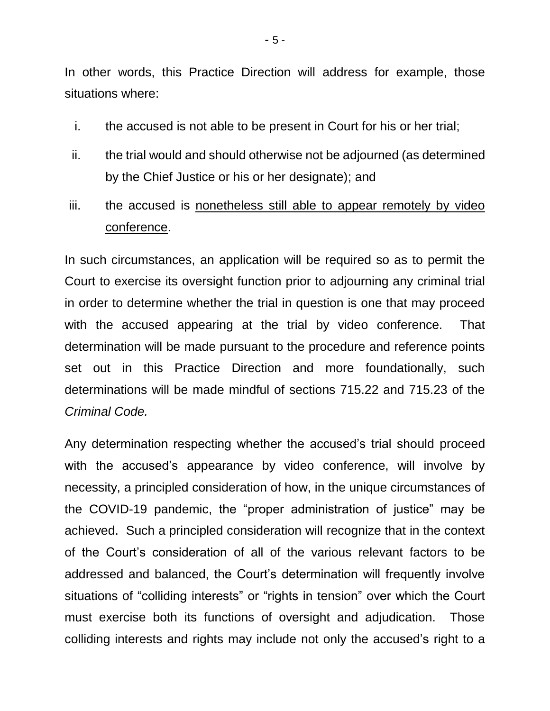In other words, this Practice Direction will address for example, those situations where:

- i. the accused is not able to be present in Court for his or her trial;
- ii. the trial would and should otherwise not be adjourned (as determined by the Chief Justice or his or her designate); and
- iii. the accused is nonetheless still able to appear remotely by video conference.

In such circumstances, an application will be required so as to permit the Court to exercise its oversight function prior to adjourning any criminal trial in order to determine whether the trial in question is one that may proceed with the accused appearing at the trial by video conference. That determination will be made pursuant to the procedure and reference points set out in this Practice Direction and more foundationally, such determinations will be made mindful of sections 715.22 and 715.23 of the *Criminal Code.* 

Any determination respecting whether the accused's trial should proceed with the accused's appearance by video conference, will involve by necessity, a principled consideration of how, in the unique circumstances of the COVID-19 pandemic, the "proper administration of justice" may be achieved. Such a principled consideration will recognize that in the context of the Court's consideration of all of the various relevant factors to be addressed and balanced, the Court's determination will frequently involve situations of "colliding interests" or "rights in tension" over which the Court must exercise both its functions of oversight and adjudication. Those colliding interests and rights may include not only the accused's right to a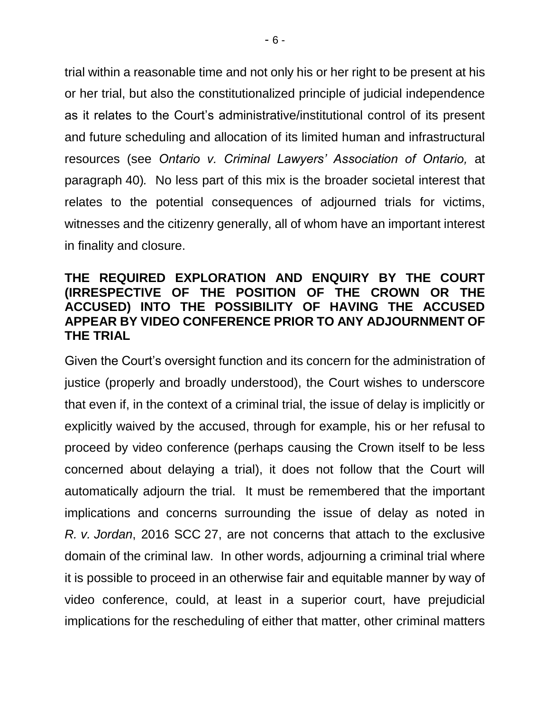trial within a reasonable time and not only his or her right to be present at his or her trial, but also the constitutionalized principle of judicial independence as it relates to the Court's administrative/institutional control of its present and future scheduling and allocation of its limited human and infrastructural resources (see *Ontario v. Criminal Lawyers' Association of Ontario,* at paragraph 40)*.* No less part of this mix is the broader societal interest that relates to the potential consequences of adjourned trials for victims, witnesses and the citizenry generally, all of whom have an important interest in finality and closure.

### **THE REQUIRED EXPLORATION AND ENQUIRY BY THE COURT (IRRESPECTIVE OF THE POSITION OF THE CROWN OR THE ACCUSED) INTO THE POSSIBILITY OF HAVING THE ACCUSED APPEAR BY VIDEO CONFERENCE PRIOR TO ANY ADJOURNMENT OF THE TRIAL**

Given the Court's oversight function and its concern for the administration of justice (properly and broadly understood), the Court wishes to underscore that even if, in the context of a criminal trial, the issue of delay is implicitly or explicitly waived by the accused, through for example, his or her refusal to proceed by video conference (perhaps causing the Crown itself to be less concerned about delaying a trial), it does not follow that the Court will automatically adjourn the trial. It must be remembered that the important implications and concerns surrounding the issue of delay as noted in *R. v. Jordan*, 2016 SCC 27, are not concerns that attach to the exclusive domain of the criminal law. In other words, adjourning a criminal trial where it is possible to proceed in an otherwise fair and equitable manner by way of video conference, could, at least in a superior court, have prejudicial implications for the rescheduling of either that matter, other criminal matters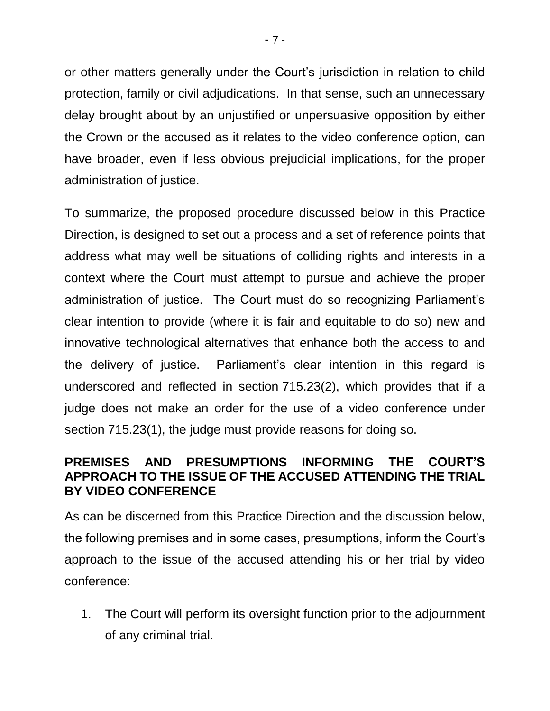or other matters generally under the Court's jurisdiction in relation to child protection, family or civil adjudications. In that sense, such an unnecessary delay brought about by an unjustified or unpersuasive opposition by either the Crown or the accused as it relates to the video conference option, can have broader, even if less obvious prejudicial implications, for the proper administration of justice.

To summarize, the proposed procedure discussed below in this Practice Direction, is designed to set out a process and a set of reference points that address what may well be situations of colliding rights and interests in a context where the Court must attempt to pursue and achieve the proper administration of justice. The Court must do so recognizing Parliament's clear intention to provide (where it is fair and equitable to do so) new and innovative technological alternatives that enhance both the access to and the delivery of justice. Parliament's clear intention in this regard is underscored and reflected in section 715.23(2), which provides that if a judge does not make an order for the use of a video conference under section 715.23(1), the judge must provide reasons for doing so.

# **PREMISES AND PRESUMPTIONS INFORMING THE COURT'S APPROACH TO THE ISSUE OF THE ACCUSED ATTENDING THE TRIAL BY VIDEO CONFERENCE**

As can be discerned from this Practice Direction and the discussion below, the following premises and in some cases, presumptions, inform the Court's approach to the issue of the accused attending his or her trial by video conference:

1. The Court will perform its oversight function prior to the adjournment of any criminal trial.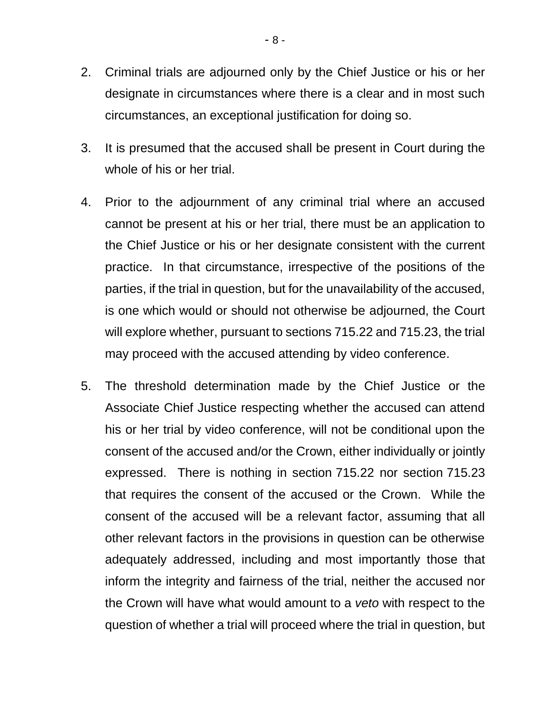- 2. Criminal trials are adjourned only by the Chief Justice or his or her designate in circumstances where there is a clear and in most such circumstances, an exceptional justification for doing so.
- 3. It is presumed that the accused shall be present in Court during the whole of his or her trial.
- 4. Prior to the adjournment of any criminal trial where an accused cannot be present at his or her trial, there must be an application to the Chief Justice or his or her designate consistent with the current practice. In that circumstance, irrespective of the positions of the parties, if the trial in question, but for the unavailability of the accused, is one which would or should not otherwise be adjourned, the Court will explore whether, pursuant to sections 715.22 and 715.23, the trial may proceed with the accused attending by video conference.
- 5. The threshold determination made by the Chief Justice or the Associate Chief Justice respecting whether the accused can attend his or her trial by video conference, will not be conditional upon the consent of the accused and/or the Crown, either individually or jointly expressed. There is nothing in section 715.22 nor section 715.23 that requires the consent of the accused or the Crown. While the consent of the accused will be a relevant factor, assuming that all other relevant factors in the provisions in question can be otherwise adequately addressed, including and most importantly those that inform the integrity and fairness of the trial, neither the accused nor the Crown will have what would amount to a *veto* with respect to the question of whether a trial will proceed where the trial in question, but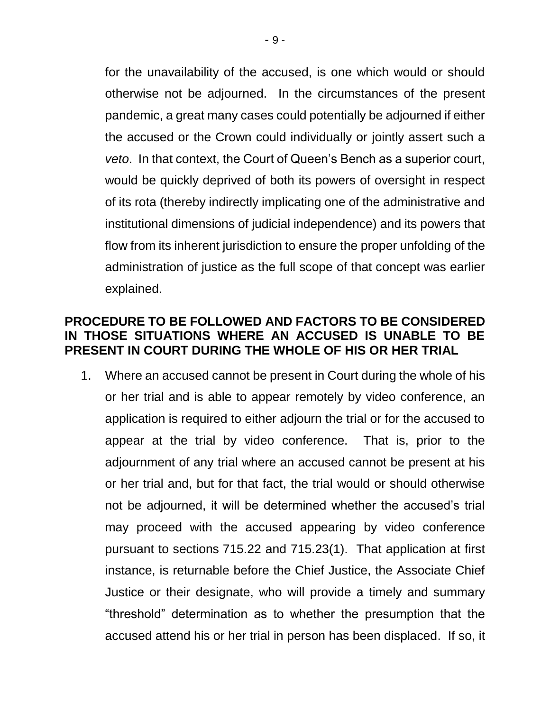for the unavailability of the accused, is one which would or should otherwise not be adjourned. In the circumstances of the present pandemic, a great many cases could potentially be adjourned if either the accused or the Crown could individually or jointly assert such a *veto*. In that context, the Court of Queen's Bench as a superior court, would be quickly deprived of both its powers of oversight in respect of its rota (thereby indirectly implicating one of the administrative and institutional dimensions of judicial independence) and its powers that flow from its inherent jurisdiction to ensure the proper unfolding of the administration of justice as the full scope of that concept was earlier explained.

#### **PROCEDURE TO BE FOLLOWED AND FACTORS TO BE CONSIDERED IN THOSE SITUATIONS WHERE AN ACCUSED IS UNABLE TO BE PRESENT IN COURT DURING THE WHOLE OF HIS OR HER TRIAL**

1. Where an accused cannot be present in Court during the whole of his or her trial and is able to appear remotely by video conference, an application is required to either adjourn the trial or for the accused to appear at the trial by video conference. That is, prior to the adjournment of any trial where an accused cannot be present at his or her trial and, but for that fact, the trial would or should otherwise not be adjourned, it will be determined whether the accused's trial may proceed with the accused appearing by video conference pursuant to sections 715.22 and 715.23(1). That application at first instance, is returnable before the Chief Justice, the Associate Chief Justice or their designate, who will provide a timely and summary "threshold" determination as to whether the presumption that the accused attend his or her trial in person has been displaced. If so, it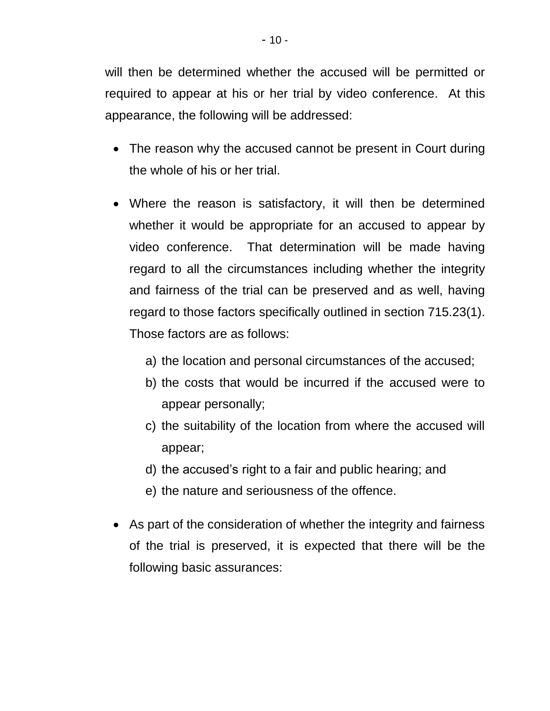will then be determined whether the accused will be permitted or required to appear at his or her trial by video conference. At this appearance, the following will be addressed:

- The reason why the accused cannot be present in Court during the whole of his or her trial.
- Where the reason is satisfactory, it will then be determined whether it would be appropriate for an accused to appear by video conference. That determination will be made having regard to all the circumstances including whether the integrity and fairness of the trial can be preserved and as well, having regard to those factors specifically outlined in section 715.23(1). Those factors are as follows:
	- a) the location and personal circumstances of the accused;
	- b) the costs that would be incurred if the accused were to appear personally;
	- c) the suitability of the location from where the accused will appear;
	- d) the accused's right to a fair and public hearing; and
	- e) the nature and seriousness of the offence.
- As part of the consideration of whether the integrity and fairness of the trial is preserved, it is expected that there will be the following basic assurances: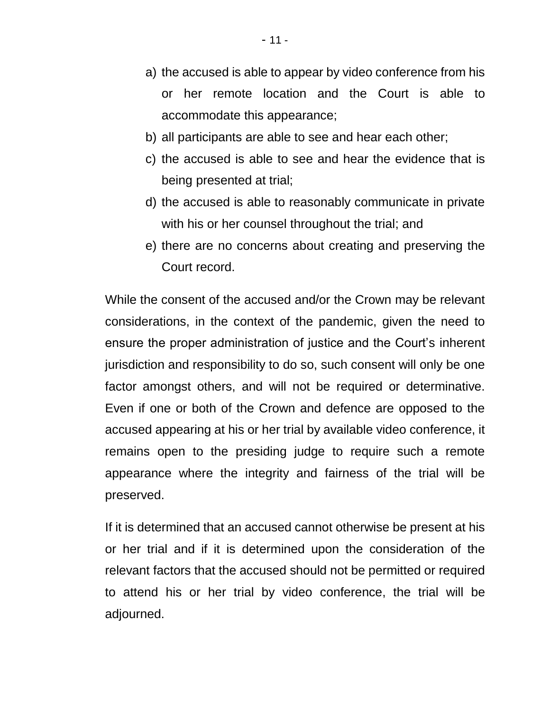- a) the accused is able to appear by video conference from his or her remote location and the Court is able to accommodate this appearance;
- b) all participants are able to see and hear each other;
- c) the accused is able to see and hear the evidence that is being presented at trial;
- d) the accused is able to reasonably communicate in private with his or her counsel throughout the trial; and
- e) there are no concerns about creating and preserving the Court record.

While the consent of the accused and/or the Crown may be relevant considerations, in the context of the pandemic, given the need to ensure the proper administration of justice and the Court's inherent jurisdiction and responsibility to do so, such consent will only be one factor amongst others, and will not be required or determinative. Even if one or both of the Crown and defence are opposed to the accused appearing at his or her trial by available video conference, it remains open to the presiding judge to require such a remote appearance where the integrity and fairness of the trial will be preserved.

If it is determined that an accused cannot otherwise be present at his or her trial and if it is determined upon the consideration of the relevant factors that the accused should not be permitted or required to attend his or her trial by video conference, the trial will be adjourned.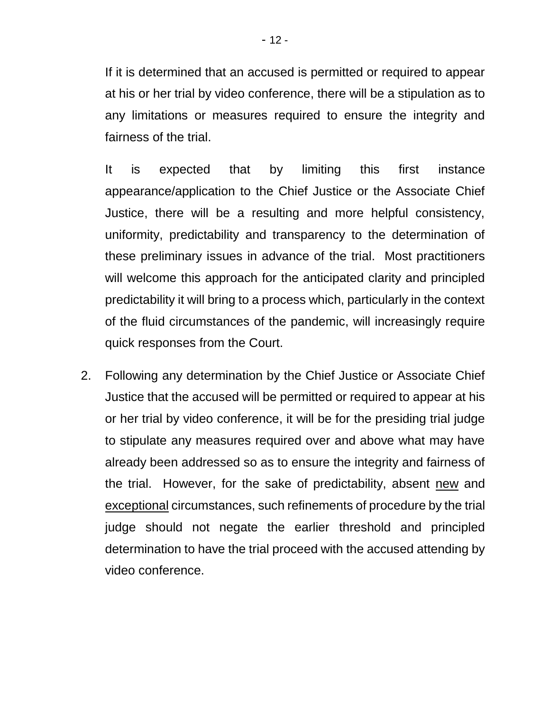If it is determined that an accused is permitted or required to appear at his or her trial by video conference, there will be a stipulation as to any limitations or measures required to ensure the integrity and fairness of the trial.

It is expected that by limiting this first instance appearance/application to the Chief Justice or the Associate Chief Justice, there will be a resulting and more helpful consistency, uniformity, predictability and transparency to the determination of these preliminary issues in advance of the trial. Most practitioners will welcome this approach for the anticipated clarity and principled predictability it will bring to a process which, particularly in the context of the fluid circumstances of the pandemic, will increasingly require quick responses from the Court.

2. Following any determination by the Chief Justice or Associate Chief Justice that the accused will be permitted or required to appear at his or her trial by video conference, it will be for the presiding trial judge to stipulate any measures required over and above what may have already been addressed so as to ensure the integrity and fairness of the trial. However, for the sake of predictability, absent new and exceptional circumstances, such refinements of procedure by the trial judge should not negate the earlier threshold and principled determination to have the trial proceed with the accused attending by video conference.